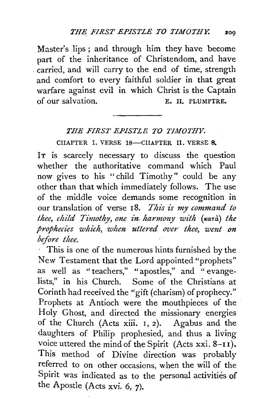Master's lips; and through him they have become part of the inheritance of Christendom, and have carried, and will carry to the end of time, strength and comfort to every faithful soldier in that great warfare against evil in which Christ is the Captain<br>of our salvation. E. H. PLUMPTRE.

## *THE FIRST EPISTLE TO TIMOTHY.*

CHAPTER I. VERSE 18-CHAPTER II. VERSE 8.

IT is scarcely necessary to discuss the question whether the authoritative command which Paul now gives to his "child Timothy" could be any other than that which immediately follows. The use of the middle voice demands some recognition in our translation of verse 18. *This is my command to thee, child Timothy, one in harmony with (kara) the prophecies which, when uttered over thee, went on before thee.* 

This is one of the numerous hints furnished by the New Testament that the Lord appointed "prophets" as well as " teachers," " apostles," and " evangelists," in his Church. Some of the Christians at Corinth had received the "gift (charism) of prophecy." Prophets at Antioch were the mouthpieces of the Holy Ghost, and directed the missionary energies of the Church (Acts xiii. I, 2). Agabus and the daughters of Philip prophesied, and thus a living voice uttered the mind of the Spirit (Acts xxi. 8-I I). This method of Divine direction was probably referred to on other occasions, when the will of the Spirit was indicated as to the personal activities of the Apostle (Acts xvi. 6, 7).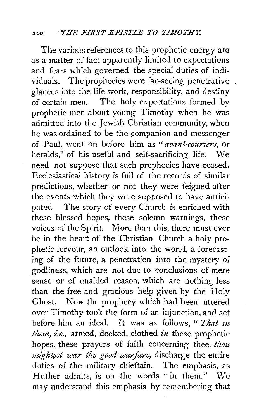The various references to this prophetic energy are as a matter of fact apparently limited to expectations and fears which governed the special duties of individuals. The prophecies were far-seeing penetrative glances into the life-work, responsibility, and destiny of certain men. The holy expectations formed by prophetic men about young Timothy when he was admitted into the Jewish Christian community, when he was ordained to be the companion and messenger of Paul, went on before him as *"avant-couriers,* or heralds," of his useful and self-sacrificing life. We need not suppose that such prophecies have ceased. Ecclesiastical history is full of the records of similar predictions, whether or not they were feigned after the events which they were supposed to have anticipated. The story of every Church is enriched with these blessed hopes, these solemn warnings, these voices of the Spirit. More than this, there must ever be in the heart of the Christian Church a holy prophetic fervour, an outlook into the world, a forecasting of the future, a penetration into the mystery of godliness, which are not due to conclusions of mere sense or of unaided reason, which are nothing less than the free and gracious help given by the Holy Ghost. Now the prophecy which had been uttered over Timothy took the form of an injunction, and set before him an ideal. It was as follows, "*That in them, i.e.,* armed, decked, clothed *in* these prophetic hopes, these prayers of faith concerning thee, *thou mightest war the good warfare*, discharge the entire duties of the military chieftain. The emphasis, as Huther admits, is on the words "in them." We may understand this emphasis by remembering that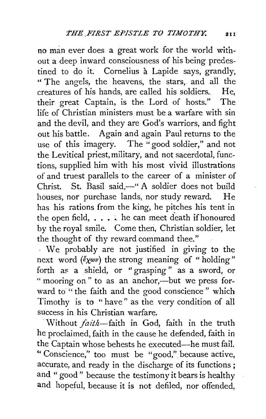no man ever does a great work for the world without a deep inward consciousness of his being predestined to do it. Cornelius à Lapide says, grandly, " The angels, the heavens, the stars, and all the creatures of his hands, are called his soldiers.. He, their great Captain, is the Lord of hosts." The life of Christian ministers must be a warfare with sin and the devil, and they are God's warriors, and fight out his battle. Again and again Paul returns to the use of this imagery. The "good soldier," and not the Levitical priest, military, and not sacerdotal, functions, supplied him with his most vivid illustrations of and truest parallels to the career of a minister of Christ. St. Basil said,-" A soldier does not build houses, nor purchase lands, nor study reward. He has his rations from the king, he pitches his tent in the open field,  $\ldots$ . he can meet death if honoured by the royal smile. Come then, Christian soldier, let the thought of thy reward command thee."

. We probably are not justified in giving to the next word  $(\xi \chi \omega \nu)$  the strong meaning of "holding" forth as a shield, or "grasping" as a sword, or " mooring on " to as an anchor,—but we press forward to "the faith and the good conscience" which Timothy is to "have" as the very condition of all success in his Christian warfare.

·Without *fazch-faith* in God, faith in the truth he proclaimed, faith in the cause he defended, faith in the Captain whose behests he executed-he must fail. "Conscience," too must be "good," because active, accurate, and ready in the discharge of its functions; and " good " because the testimony it bears is healthy and hopeful, because it is not defiled, nor offended,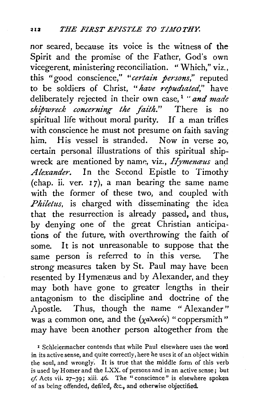nor seared, because its voice is the witness of the Spirit and the promise of the Father, God's own vicegerent, ministering reconciliation. " Which," viz., this "good conscience," *"certain persons,"* reputed to be soldiers of Christ, *"have repudzated,"* have deliberately rejected in their own case, 1 *"and made shipwreck concerning the faith."* There is no spiritual life without moral purity. If a man trifles with conscience he must not presume on faith saving him. His vessel is stranded. Now in verse 20, certain personal illustrations of this spiritual shipwreck are mentioned by name, viz., *Hymenaus* and *Alexander.* In the Second Epistle to Timothy (chap. ii. ver.  $17$ ), a man bearing the same name with the former of these two, and coupled with *Philetus,* is charged with disseminating the idea that the resurrection is already passed, and thus, by denying one of the great Christian anticipations of the future, with overthrowing the faith of some. It is not unreasonable to suppose that the same person is referred to in this verse. The strong measures taken by St. Paul may have been resented by Hymenæus and by Alexander, and they may both have gone to greater lengths in their antagonism to the discipline and doctrine of the Apostle. Thus, though the name " Alexander" was a common one, and the  $(\chi_a \lambda_{\kappa \epsilon \psi_s})$  "coppersmith" may have been another person altogether from the

<sup>1</sup> Schleiermacher contends that while Paul elsewhere uses the word in its active sense, and quite correctly, here he uses it of an object within the soul, and wrongly. It is true that the middle form of this verb is used by Homer and the LXX. of persons and in an active sense; but  $cf.$  Acts vii. 27-39; xiii. 46. The "conscience" is elsewhere spoken of as being offended, defiled, &c., and otherwise objectified.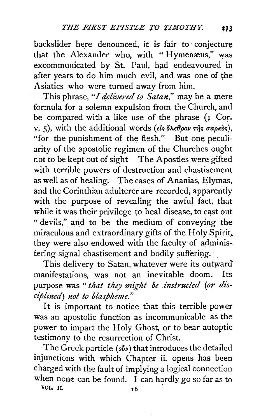backslider here denounced, it is fair to conjecture that the Alexander who, with "Hymenæus," was excommunicated by St. Paul, had endeavoured in after years to do him much evil, and was one of the Asiatics who were turned away from him.

This phrase, *"I delivered to Satan,"* may be a *mere*  formula for a solemn expulsion from the Church, and be compared with a like use of the phrase  $(r \text{ Cor.})$ v. 5), with the additional words *(είς όλεθρον της σαρκ*ός), "for the punishment of the flesh." But one peculiarity of the apostolic regimen of the Churches ought not to be kept out of sight The Apostles were gifted with terrible powers of destruction and chastisement as well as of healing. The cases of Ananias, Elymas, and the Corinthian adulterer are recorded, apparently with the purpose of revealing the awful fact, that while it was their privilege to heal disease, to cast out " devils," and to be the medium of conveying the miraculous and extraordinary gifts of the Holy Spirit,. they were also endowed with the faculty of administering signal chastisement and bodily suffering.

This delivery to Satan, whatever were its outward manifestations, was not an inevitable doom. Its purpose was" *that they might be instructed (or di'scipllned) not to blaspheme."* 

It is important to notice that this terrible power was an apostolic function as incommunicable as the power to impart the Holy Ghost, or to bear autoptic testimony to the resurrection of Christ.

The Greek particle (oiv) that introduces the detailed injunctions with which Chapter ii. opens has been charged with the fault of implying a logical connection when none can be found. I can hardly go so far as to VOL. 11.  $16$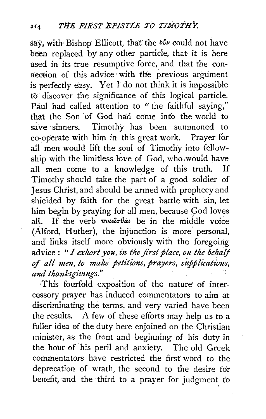say, with Bishop Ellicott, that the  $\delta \nu$  could not have been replaced by any other particle, that it *is* here used in its true resumptive force, and that the connection of this advice with the previous argument is perfectly easy. Yet· I' do not think it *is* impossible to discover the significance of this logical particle. Paul had called attention *to* " the faithful saying," that the Son of God had come into the world to save sinners. Timothy has been summoned to co-operate with him in this great work. Prayer for all men would lift the soul of Timothy into fellowship with the limitless love of God, who .would have all men come to a knowledge of this truth. If Timothy should take the part of a good soldier of Jesus Christ, and should be armed with prophecy and shielded by faith for the great battle with sin, let him begin by praying for all men, because God loves all. If the verb  $\pi$ *ote* $\partial \theta$ *at* be in the middle voice (Alford, Huther), the injunction is more personal, and links itself more obviously with the foregoing advice : "*I exhort you, in the first place, on the behalf* of *all men, to make. petitions, prayers, supplications,*  and thanksgivings."

This fourfold exposition of the nature of intercessory prayer has induced commentators to aim at discriminating the terms, and very varied have been the results. A few of these efforts may help us to a fuller idea of the duty here enjoined on the Christian minister, as the front and beginning of his duty in the hour of· his peril and anxiety. The old Greek commentators have restricted the first' word to the deprecation of wrath, the second to the desire for benefit, and the third to a prayer for judgment, *to*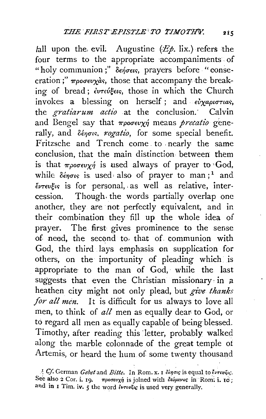fall upon the evil. Augustine  $(E\phi, \text{lix.})$  refers the four terms to the appropriate accompaniments of " holy communion;"  $\delta$ *engeus*, prayers before "consecration;"  $\pi\rho_0\sigma\epsilon\nu x\dot{a}s$ , those that accompany the breaking of bread; έντεύξεις, those in which the Church invokes a blessing on herself; and  $\epsilon v_{\chi}$ *aptortas*, the *gratiarum actio* at the conclusion. Calvin and Bengel say that *προσευχή* means *pretatio* generally, and  $\delta \epsilon_{\eta \sigma \nu s}$ , rogatio, for some special benefit. Fritzsche and Trench come. to , nearly the same conclusion, that the main distinction between them is that  $\pi \rho \circ \sigma \epsilon \nu \gamma \gamma$  is used always of prayer to God, while  $\delta \epsilon \eta \sigma \iota s$  is used, also of prayer to man;<sup>1</sup> and  $e^{i\nu\tau\epsilon\nu\xi\nu\varsigma}$  is for personal, as well as relative, intercession. Though. the words partially overlap one another, they are not perfectly equivalent, and in their combination they fill up the whole idea of prayer. The first gives prominence to the sense o£ need, the second to- that of communion with God, the third lays emphasis on supplication for others, on the importunity of pleading which is appropriate to the man of God, while the last suggests that even the Christian missionary in  $a$ heathen city might not only plead, but *give thanks for all men.* It is difficult for us always to love all men, to think of *all* men as equally dear to God, or to regard all men as equally capable of being blessed. Timothy, after reading this letter, probably walked along the marble colonnade of the great temple ot Artemis, or heard the hum of some twenty thousand

 $~^tC$ . German *Gebet* and *Bitte*. In Rom. x. I δίησις is equal to έντευξις. See also 2 Cor. i. 19.  $\pi\rho\sigma\epsilon\nu\chi\eta$  is joined with δεόμενος in Rom: i. to; and in I Tim. iv. 5 the word  $i\nu\tau\omega\zeta\omega$  is used very generally.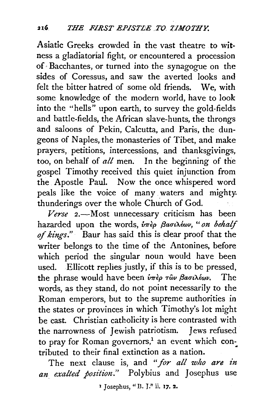Asiatic Greeks crowded in the vast theatre to witness a gladiatorial fight, or encountered a procession of· Bacchantes, or turned into the synagogue on the sides of Coressus, and saw the averted looks and felt the bitter hatred of some old friends. We, with some knowledge of the modern world, have to look into the "heils" upon earth, to survey the gold-fields and battle-fields, the African slave-hunts, the throngs and saloons of Pekin, Calcutta, and Paris, the dungeons of Naples, the monasteries of Tibet, and make prayers, petitions, intercessions, and thanksgivings, too, on behalf of *all* men. In the beginning of the gospel Timothy received this quiet injunction from the Apostle Paul. Now the once whispered word peals like the voice of many waters and mighty. thunderings over the whole Church of God.

*Verse* 2.-Most unnecessary criticism has been hazarded upon the words, *υπερ βασιλέων*, "on behalf *of kings."* Baur has said this is dear proof that the writer belongs to the time of the Antonines, before which period the singular noun would have been used. Ellicott replies justly, if this is to be pressed, the phrase would have been *iπερ των βασιλέων*. The words, as they stand, do not point necessarily to the Roman emperors, but to the supreme authorities in the states or provinces in which Timothy's lot might be cast. Christian catholicity is here contrasted with the narrowness of Jewish patriotism. Jews refused to pray for Roman governors,<sup>1</sup> an event which contributed to their final extinction as a nation.

The next clause is, and *"for all who are in*  an exalted position." Polybius and Josephus use

1 Josephus, "B. *1.''* ii. 17. 2.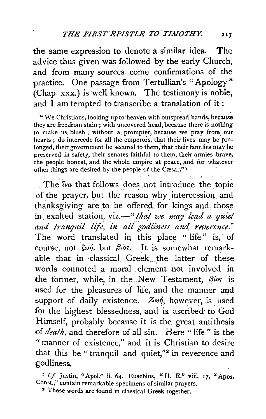the same expression to denote a similar idea. The advice thus given was followed by the early Church, and from many sources· come confirmations of the practice. One passage from Tertullian's "Apology" (Chap. xxx.) is well known. The testimony is noble, and I am tempted to transcribe a translation of it :

"We Christians, looking up to heaven with outspread hands, because they are free.from stain ; with uncovered head, because there is nothing to make us. blush ; without a prompter, because we pray from, our hearts ; do intercede for all the emperors, that their lives may be prolonged, their government be secured to them, that their families may be preserved in safety, their senates faithful to them, their armies brave, the people honest, and the whole empire at peace, and for whatever other things are desired by the people or the  $\text{C}$ *esar.*"<sup>I</sup>

The *iva* that follows does not introduce the topic of the prayer, but the reason why intercession and thanksgiving are to be offered for kings and those in exalted station, viz.—" *that we may lead a quiet* and tranquil life, in all godliness and reverence." The word translated in this place "life" is, of course, not *ζωή*, but *βίos*. It is somewhat remarkable that in classical Greek the latter of these words connoted a moral element not involved in the former, while, in the New Testament, *Bios* is used for the pleasures of life, and the manner and support of daily existence. Zw*n*, however, is used for the highest blessedness, and is ascribed to God Himself, probably because it is the great antithesis of *death,* and therefore of all sin. Here "life" is the "manner of existence," and it is Christian to desire that this be "tranquil and quiet,"<sup>2</sup> in reverence and godliness.

<sup>1</sup> Cf. Justin, "Apol." ii. 64. Eusebius, "H. E." viii. 17, "Apos. Const.," contain remarkable specimens of similar prayers.

a These words are found in classical Greek together.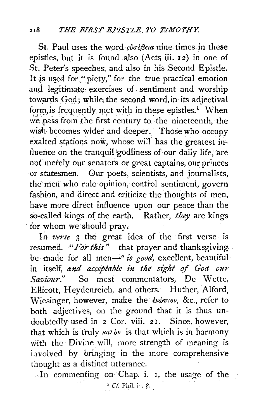St. Paul uses the word  $\epsilon \nu \sigma \epsilon \beta \epsilon \nu a$  nine times in these epistles, but it is found also (Acts iii. 12) in one of St. Peter's speeches, and also in his Second Epistle. It is used for "piety," for the true practical emotion and legitimate exercises of sentiment and worship towards God; while the second word, in its adjectival form is frequently met with in these epistles.<sup>1</sup> When we pass from the first century to the nineteenth, the wish becomes wider and deeper. Those who occupy exalted stations now, whose will has the greatest influence on the tranquil godliness of our daily life, are not merely our senators or great captains, our princes or statesmen. Our poets, scientists, and journalists, the men who rule opinion, control sentiment, govern fashion, and direct and criticize the thoughts of men, have more direct influence upon our peace than the so-called kings of the earth. Rather, they are kings for whom we should pray.

In verse 3 the great idea of the first verse is resumed. "For this"—that prayer and thanksgiving be made for all men-"is good, excellent, beautifulin itself, and acceptable in the sight of God our Saviour." So most commentators, De Wette, Ellicott, Heydenreich, and others. Huther, Alford. Wiesinger, however, make the ενώπιον, &c., refer to both adjectives, on the ground that it is thus undoubtedly used in 2 Cor. viii. 21. Since, however, that which is truly  $\kappa a \lambda \partial \nu$  is that which is in harmony with the Divine will, more strength of meaning is involved by bringing in the more comprehensive thought as a distinct utterance.

In commenting on Chap. i. 1, the usage of the <sup>1</sup> Cf. Phil. in. 8.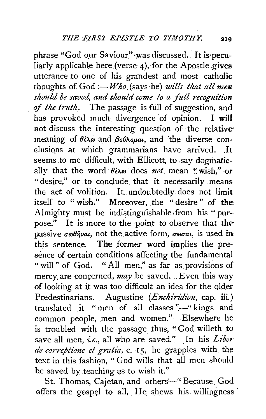phrase "God our Saviour" was discussed. It is peculiarly applicable here (verse 4), for the Apostle gives utterance to one of his grandest and most catholic thoughts of  $God := Who$  (says he) wills that all men should be saved, and should come to a full recognition of the truth. The passage is full of suggestion, and has provoked much divergence of opinion. I will not discuss the interesting question of the relative meaning of  $\theta \in \infty$  and  $\beta o \infty$  and the diverse conclusions at which grammarians have arrived. It seems to me difficult, with Ellicott, to say dogmatically that the word  $\theta \in \infty$  does not mean "wish." or "desire," or to conclude that it necessarily means the act of volition. It undoubtedly does not limit itself to "wish." Moreover, the "desire" of the Almighty must be indistinguishable from his "purpose." It is more to the point to observe that the passive  $\sigma \omega \theta \hat{n}$ vai, not the active form,  $\sigma \omega \sigma a \hat{i}$ , is used in this sentence. The former word implies the presence of certain conditions affecting the fundamental "will" of God. "All men," as far as provisions of mercy are concerned,  $may$  be saved. Even this way of looking at it was too difficult an idea for the older Predestinarians. Augustine (Enchiridion, cap. iii.) translated it "men of all classes"-"kings and common people, men and women." Elsewhere he is troubled with the passage thus, "God willeth to save all men, *i.e.*, all who are saved." In his Liber de correptione et gratia, c. 15, he grapples with the text in this fashion, "God wills that all men should be saved by teaching us to wish it."

St. Thomas, Cajetan, and others-"Because God offers the gospel to all, He shews his willingness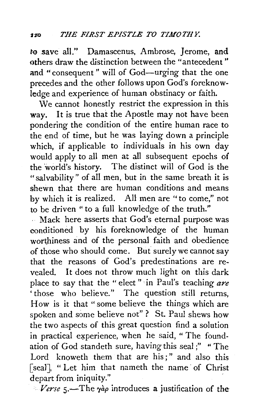to save all." Damascenus, Ambrose, Jerome, and others draw the distinction between the "antecedent " and "consequent" will of God-urging that the one precedes and the other follows upon God's foreknowledge and experience of human obstinacy or faith.

We cannot honestly restrict the expression in this way. It is true that the Apostle may not have been pondering the condition of the entire human race to the end of time, but he was laying down a principle which, if applicable to individuals in his own day would apply to all men at all subsequent epochs of the world's history. The distinct will of God is the "salvability" of all men, but in the same breath it is shewn that there are human conditions and means by which it is realized. All men are "to come," not to be driven " to a full knowledge of the truth."

Mack here asserts that God's eternal purpose was conditioned by his foreknowledge of the human worthiness and of the personal faith and obedience of those who should come. But surely we cannot say that the reasons of God's predestinations are revealed. It does not throw much light on this dark place to say that the "elect" in Paul's teaching *are*  'those who believe." The question still returns, How is it that "some believe the things which are spoken and some believe not" ? St. Paul shews how the two aspects of this great question find a solution in practical experience, when he said, "The foundation of God standeth sure, having this seal;" "The Lord knoweth them that are his;" and also this [seal], "Let him that nameth the name of Christ depart from iniquity."

 $\mathscr{N}$ erse 5.—The  $\gamma a \rho$  introduces a justification of the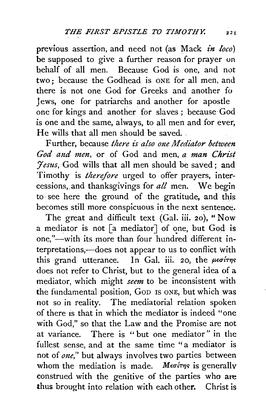previous assertion, and need not (as Mack *in loco)*  be supposed to give a further reason for prayer on hehalf of all men. Because God is one, and not two ; because the Godhead is ONE for all men, and there is not one God for Greeks and another fo Jews, one for patriarchs and another for apostle one for kings and another for slaves; because God is one and the same, always, to all men and for ever, He wills that all men should be saved...

Further, because *there is also one Mediator between* God and men, or of God and men, a man Christ *:Jesus,* God wills that all men should be saved; and Timothy is *therefore* urged to offer prayers, intercessions,.and thanksgivings for *all* men. We begin to ·see here the ground of the gratitude, and this becomes still more conspicuous in the next sentence.

The great and difficult text (Gal. iii. 20), "Now a mediator is not [a mediator] of one, but God is one,"-with its more than four hundred different interpretations,—does not appear to us to conflict with this grand utterance. In Gal. iii. 20, the  $\mu\epsilon\sigma$ irms does not refer to Christ, but to the general idea of a mediator, which might *seem* to be inconsistent with the fundamental position, GoD IS ONE, but which was not so in reality. The mediatorial relation spoken of there is that in which the mediator is indeed "one with God," so that the Law and the Promise are not at variance. There is " but one mediator" in the fullest sense, and at the same time "a mediator is not of  $one$ ," but always involves two parties between whom the mediation is made. Medity is generally construed with the genitive of the parties who are thus brought into relation with each other. Christ is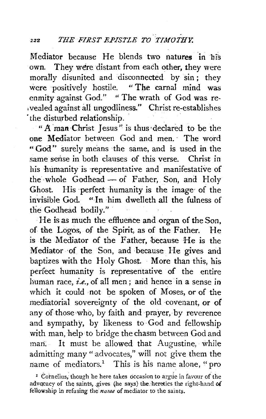Mediator because He blends two natures in his own. They were distant from each other, they were morally disunited and disconnected by sin; they were positively hostile. "The carnal mind was were positively hostile. enmity against God." "The wrath of God was re- .vealed against all ungodliness." Christ re-establishes 'the disturbed relationship.

" A man Christ Jesus" is thus declared to be the one Mediator between God and men. · The word "God" surely means the same, and is used in the same sense in both clauses of this verse. Christ in his humanity is representative and manifestative of the whole Godhead - of Father, Son, and Holy Ghost. His ·perfect humanity is the image· of the invisible God. " In him dwelleth all the fulness of the Godhead bodily."

He is as much the effluence and organ of the Son, of the Logos, of the Spirit, as of the Father. He is the Mediator of the Father, because He is the Mediator of the Son, and because He gives and baptizes with the Holy Ghost. More than this, his perfect humanity is representative of the entire human race, *i.e.*, of all men; and hence in a sense in which it could not be spoken of Moses, or of the mediatorial sovereignty of the old covenant, or of any of those who, by faith and prayer, by reverence and sympathy, by likeness to God and fellowship with man, help to bridge the chasm between God and man. It must be allowed that Augustine, while admitting many "advocates," will not give them the name of mediators.<sup>1</sup> This is his name alone, "pro

<sup>&</sup>lt;sup>1</sup> Cornelius, though he here takes occasion to argue in favour of the advocacy of the saints, gives (he says) the heretics the right-hand of fellowship ln refusing the *name* of mediator to the saints.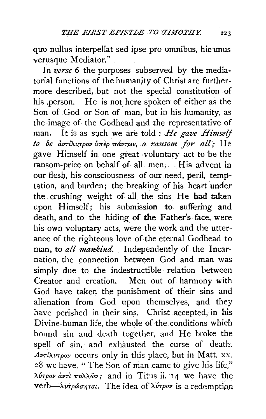quo nullus interpellat sed ipse pro omnibus, hic unus verusque Mediator."

In verse 6 the purposes subserved by the mediatorial functions of the humanity of Christ are furthermore described, but not the special constitution of his person. He is not here spoken of either as the Son of God or Son of man, but in his humanity, as the image of the Godhead and the representative of man. It is as such we are told : He gave Himself to be  $\partial u \tau/\partial \nu$   $\tau$   $\rho$   $\sigma$   $\nu$   $\sigma$   $\pi$   $\partial \nu$   $\tau$   $\omega$ ,  $\alpha$  ransom for all; He gave Himself in one great voluntary act to be the ransom-price on behalf of all men. His advent in our flesh, his consciousness of our need, peril, temptation, and burden; the breaking of his heart under the crushing weight of all the sins He had taken upon Himself; his submission to suffering and death, and to the hiding of the Father's face, were his own voluntary acts, were the work and the utterance of the righteous love of the eternal Godhead to man, to all mankind. Independently of the Incarnation, the connection between God and man was simply due to the indestructible relation between Creator and creation. Men out of harmony with God have taken the punishment of their sins and alienation from God upon themselves, and they have perished in their sins. Christ accepted, in his Divine-human life, the whole of the conditions which bound sin and death together, and He broke the spell of sin, and exhausted the curse of death.  $Av$ Ti $\lambda v$ Tρον occurs only in this place, but in Matt. xx. 28 we have, "The Son of man came to give his life," λύτρον άντι πολλών; and in Titus ii. 14 we have the verb—λύτρώσηται. The idea of λύτρον is a redemption

223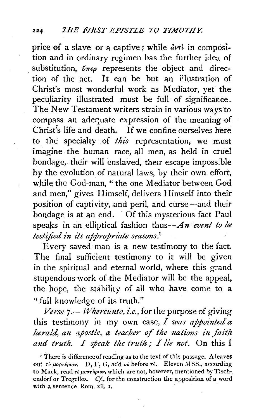price of a slave or a captive; while  $\frac{dv}{dt}$  in composition and in ordinary regimen has the further idea of substitution,  $\tilde{\nu}_{\pi\epsilon\rho}$  represents the object and direction of the act. It can be but an illustration of Christ's most wonderful work as Mediator, yet' the peculiarity illustrated must be full of significance. The New Testament writers strain in various waysto compass an adecuate expression of the meaning of Christ's life and death. If we confine ourselves here to the specialty of *this* representation, we must imagine the human race, all men, as held in cruel bondage, their will enslaved, their escape impossible by the evolution of natural laws, by their own effort, while the God-man, " the one Mediator between God and men," gives Himself, delivers Himself into their position of captivity, and peril, and curse-and their bondage is at an end. Of this mysterious fact Paul speaks in an elliptical fashion thus-*An event to be testified in its appropriate seasons.*<sup>1</sup>

Every saved· man is a new testimony to the fact. The final sufficient testimony to it will be given in the spiritual and eternal world, where this grand stupendous work of the Mediator will be the appeal, the hope, the stability of all who have come to a "full knowledge of its truth."

*Verse* 7.-*Whereunto, i.e.,* for the purpose of giving this testimony in my own case, *I was appointed a herald, an apostle, a teacher of the nations in faith*  and truth. I speak the truth; I lie not. On this I

<sup>1</sup> There is difference of reading as to the text of this passage. A leaves out  $\tau$ <sup>b</sup>  $\mu$ apr*v*<sub>pto</sub>v, D, F, G, add  $o\bar{v}$  before  $\tau$ *b*. Eleven MSS., according to Mack, read *To pvaT•ip•ov,* which are not, however, mentioned by Tischendorf or Tregelles. *Cf.*, for the construction the apposition of a word with a sentence Rom. xii. I.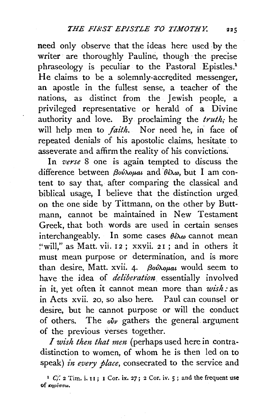need only observe that the ideas here used by the writer are thoroughly Pauline, though the precise phraseology is peculiar to the Pastoral Epistles.<sup>1</sup> He claims to be a solemnly-accredited messenger, an apostle in the fullest sense, a teacher of the nations, as distinct from the Jewish people, a privileged representative or herald of a Divine authority and love. By proclaiming the *truth;* he will help men to *faith*. Nor need he, in face of repeated denials of his apostolic claims, hesitate to asseverate and affirm the reality of his convictions.

In *verse* 8 one is again tempted to discuss the difference between βούλομαι and θέλω, but I am content to say that, after comparing the classical and biblical usage, I believe that the distinction urged on the one side by Tittmann, on the other by Buttmann, cannot be maintained in New Testament Greek, that both words are used in certain senses interchangeably. In some cases  $\theta \hat{\epsilon} \lambda \omega$  cannot mean "will," as Matt. vii. 12; xxvii. 21; and in others it must mean purpose or determination, and is more than desire, Matt. xvii. 4· *{3ov'AoJ1-at* would seem to have the idea of *deliberation* essentially involved in it, yet often it cannot mean more than *wish*: as in Acts xvii. 20, so also here. Paul can counsel or desire, but he cannot purpose or will the conduct of others. The  $\delta \nu$  gathers the general argument of the previous verses together.

*I wish then that men* (perhaps used here in contradistinction to women, of whom he is then led on to speak) *in every place,* consecrated to the service and

<sup>&</sup>lt;sup>1</sup>  $C_i$ : 2 Tim. i. 11; 1 Cor. ix. 27; 2 Cor. iv. 5; and the frequent use of κηρύσσω.